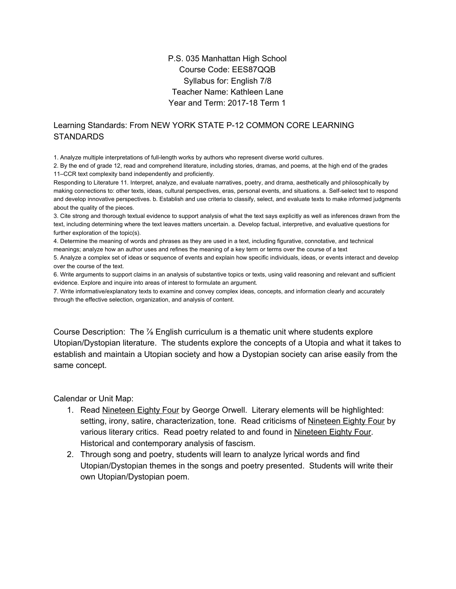## P.S. 035 Manhattan High School Course Code: EES87QQB Syllabus for: English 7/8 Teacher Name: Kathleen Lane Year and Term: 2017-18 Term 1

## Learning Standards: From NEW YORK STATE P-12 COMMON CORE LEARNING **STANDARDS**

1. Analyze multiple interpretations of full-length works by authors who represent diverse world cultures.

2. By the end of grade 12, read and comprehend literature, including stories, dramas, and poems, at the high end of the grades 11–CCR text complexity band independently and proficiently.

Responding to Literature 11. Interpret, analyze, and evaluate narratives, poetry, and drama, aesthetically and philosophically by making connections to: other texts, ideas, cultural perspectives, eras, personal events, and situations. a. Self-select text to respond and develop innovative perspectives. b. Establish and use criteria to classify, select, and evaluate texts to make informed judgments about the quality of the pieces.

3. Cite strong and thorough textual evidence to support analysis of what the text says explicitly as well as inferences drawn from the text, including determining where the text leaves matters uncertain. a. Develop factual, interpretive, and evaluative questions for further exploration of the topic(s).

4. Determine the meaning of words and phrases as they are used in a text, including figurative, connotative, and technical meanings; analyze how an author uses and refines the meaning of a key term or terms over the course of a text 5. Analyze a complex set of ideas or sequence of events and explain how specific individuals, ideas, or events interact and develop over the course of the text.

6. Write arguments to support claims in an analysis of substantive topics or texts, using valid reasoning and relevant and sufficient evidence. Explore and inquire into areas of interest to formulate an argument.

7. Write informative/explanatory texts to examine and convey complex ideas, concepts, and information clearly and accurately through the effective selection, organization, and analysis of content.

Course Description: The ⅞ English curriculum is a thematic unit where students explore Utopian/Dystopian literature. The students explore the concepts of a Utopia and what it takes to establish and maintain a Utopian society and how a Dystopian society can arise easily from the same concept.

Calendar or Unit Map:

- 1. Read Nineteen Eighty Four by George Orwell. Literary elements will be highlighted: setting, irony, satire, characterization, tone. Read criticisms of Nineteen Eighty Four by various literary critics. Read poetry related to and found in Nineteen Eighty Four. Historical and contemporary analysis of fascism.
- 2. Through song and poetry, students will learn to analyze lyrical words and find Utopian/Dystopian themes in the songs and poetry presented. Students will write their own Utopian/Dystopian poem.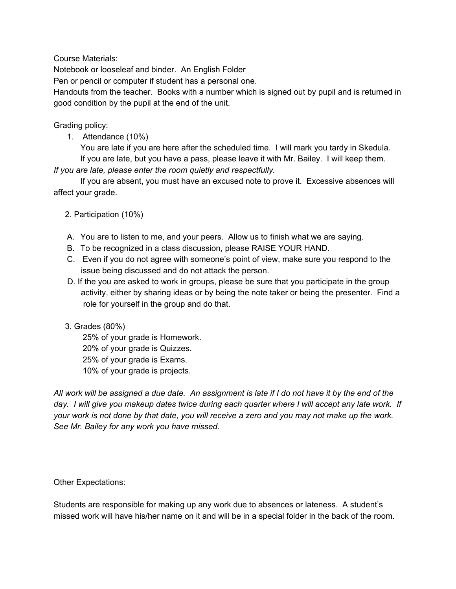Course Materials:

Notebook or looseleaf and binder. An English Folder

Pen or pencil or computer if student has a personal one.

Handouts from the teacher. Books with a number which is signed out by pupil and is returned in good condition by the pupil at the end of the unit.

Grading policy:

1. Attendance (10%)

You are late if you are here after the scheduled time. I will mark you tardy in Skedula. If you are late, but you have a pass, please leave it with Mr. Bailey. I will keep them.

*If you are late, please enter the room quietly and respectfully.*

If you are absent, you must have an excused note to prove it. Excessive absences will affect your grade.

2. Participation (10%)

- A. You are to listen to me, and your peers. Allow us to finish what we are saying.
- B. To be recognized in a class discussion, please RAISE YOUR HAND.
- C. Even if you do not agree with someone's point of view, make sure you respond to the issue being discussed and do not attack the person.
- D. If the you are asked to work in groups, please be sure that you participate in the group activity, either by sharing ideas or by being the note taker or being the presenter. Find a role for yourself in the group and do that.

## 3. Grades (80%)

25% of your grade is Homework. 20% of your grade is Quizzes. 25% of your grade is Exams. 10% of your grade is projects.

All work will be assigned a due date. An assignment is late if I do not have it by the end of the day. I will give you makeup dates twice during each quarter where I will accept any late work. If your work is not done by that date, you will receive a zero and you may not make up the work. *See Mr. Bailey for any work you have missed.*

## Other Expectations:

Students are responsible for making up any work due to absences or lateness. A student's missed work will have his/her name on it and will be in a special folder in the back of the room.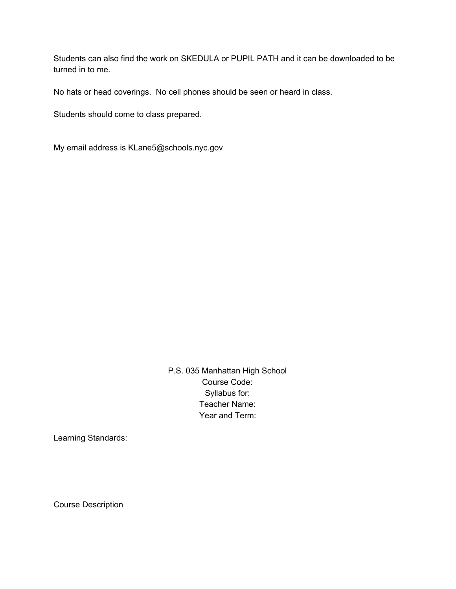Students can also find the work on SKEDULA or PUPIL PATH and it can be downloaded to be turned in to me.

No hats or head coverings. No cell phones should be seen or heard in class.

Students should come to class prepared.

My email address is KLane5@schools.nyc.gov

P.S. 035 Manhattan High School Course Code: Syllabus for: Teacher Name: Year and Term:

Learning Standards:

Course Description